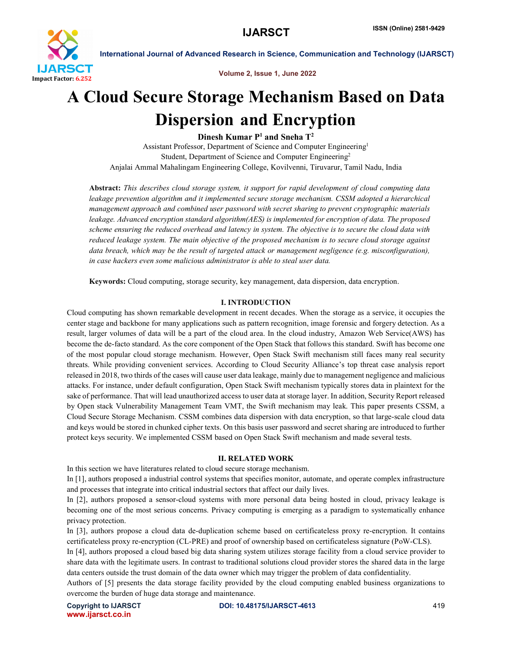

Volume 2, Issue 1, June 2022

# A Cloud Secure Storage Mechanism Based on Data Dispersion and Encryption

Dinesh Kumar P<sup>1</sup> and Sneha T<sup>2</sup>

Assistant Professor, Department of Science and Computer Engineering1 Student, Department of Science and Computer Engineering2 Anjalai Ammal Mahalingam Engineering College, Kovilvenni, Tiruvarur, Tamil Nadu, India

Abstract: *This describes cloud storage system, it support for rapid development of cloud computing data leakage prevention algorithm and it implemented secure storage mechanism. CSSM adopted a hierarchical management approach and combined user password with secret sharing to prevent cryptographic materials leakage. Advanced encryption standard algorithm(AES) is implemented for encryption of data. The proposed scheme ensuring the reduced overhead and latency in system. The objective is to secure the cloud data with reduced leakage system. The main objective of the proposed mechanism is to secure cloud storage against data breach, which may be the result of targeted attack or management negligence (e.g. misconfiguration), in case hackers even some malicious administrator is able to steal user data.*

Keywords: Cloud computing, storage security, key management, data dispersion, data encryption.

# I. INTRODUCTION

Cloud computing has shown remarkable development in recent decades. When the storage as a service, it occupies the center stage and backbone for many applications such as pattern recognition, image forensic and forgery detection. As a result, larger volumes of data will be a part of the cloud area. In the cloud industry, Amazon Web Service(AWS) has become the de-facto standard. As the core component of the Open Stack that follows this standard. Swift has become one of the most popular cloud storage mechanism. However, Open Stack Swift mechanism still faces many real security threats. While providing convenient services. According to Cloud Security Alliance's top threat case analysis report released in 2018, two thirds of the cases will cause user data leakage, mainly due to management negligence and malicious attacks. For instance, under default configuration, Open Stack Swift mechanism typically stores data in plaintext for the sake of performance. That will lead unauthorized access to user data at storage layer. In addition, Security Report released by Open stack Vulnerability Management Team VMT, the Swift mechanism may leak. This paper presents CSSM, a Cloud Secure Storage Mechanism. CSSM combines data dispersion with data encryption, so that large-scale cloud data and keys would be stored in chunked cipher texts. On this basis user password and secret sharing are introduced to further protect keys security. We implemented CSSM based on Open Stack Swift mechanism and made several tests.

#### II. RELATED WORK

In this section we have literatures related to cloud secure storage mechanism.

In [1], authors proposed a industrial control systems that specifies monitor, automate, and operate complex infrastructure and processes that integrate into critical industrial sectors that affect our daily lives.

In [2], authors proposed a sensor-cloud systems with more personal data being hosted in cloud, privacy leakage is becoming one of the most serious concerns. Privacy computing is emerging as a paradigm to systematically enhance privacy protection.

In [3], authors propose a cloud data de-duplication scheme based on certificateless proxy re-encryption. It contains certificateless proxy re-encryption (CL-PRE) and proof of ownership based on certificateless signature (PoW-CLS).

In [4], authors proposed a cloud based big data sharing system utilizes storage facility from a cloud service provider to share data with the legitimate users. In contrast to traditional solutions cloud provider stores the shared data in the large data centers outside the trust domain of the data owner which may trigger the problem of data confidentiality.

Authors of [5] presents the data storage facility provided by the cloud computing enabled business organizations to overcome the burden of huge data storage and maintenance.

www.ijarsct.co.in

Copyright to IJARSCT **DOI: 10.48175/IJARSCT-4613** 419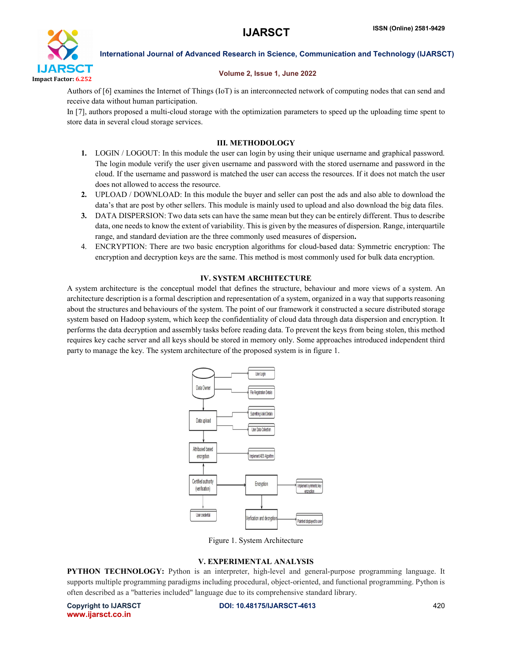

# Volume 2, Issue 1, June 2022

Authors of [6] examines the Internet of Things (IoT) is an interconnected network of computing nodes that can send and receive data without human participation.

In [7], authors proposed a multi-cloud storage with the optimization parameters to speed up the uploading time spent to store data in several cloud storage services.

# III. METHODOLOGY

- 1. LOGIN / LOGOUT: In this module the user can login by using their unique username and graphical password. The login module verify the user given username and password with the stored username and password in the cloud. If the username and password is matched the user can access the resources. If it does not match the user does not allowed to access the resource.
- 2. UPLOAD / DOWNLOAD: In this module the buyer and seller can post the ads and also able to download the data's that are post by other sellers. This module is mainly used to upload and also download the big data files.
- 3. DATA DISPERSION: Two data sets can have the same mean but they can be entirely different. Thus to describe data, one needs to know the extent of variability. This is given by the measures of dispersion. Range, interquartile range, and standard deviation are the three commonly used measures of dispersion.
- 4. ENCRYPTION: There are two basic encryption algorithms for cloud-based data: Symmetric encryption: The encryption and decryption keys are the same. This method is most commonly used for bulk data encryption.

## IV. SYSTEM ARCHITECTURE

A system architecture is the conceptual model that defines the structure, behaviour and more views of a system. An architecture description is a formal description and representation of a system, organized in a way that supports reasoning about the structures and behaviours of the system. The point of our framework it constructed a secure distributed storage system based on Hadoop system, which keep the confidentiality of cloud data through data dispersion and encryption. It performs the data decryption and assembly tasks before reading data. To prevent the keys from being stolen, this method requires key cache server and all keys should be stored in memory only. Some approaches introduced independent third party to manage the key. The system architecture of the proposed system is in figure 1.



Figure 1. System Architecture

# V. EXPERIMENTAL ANALYSIS

PYTHON TECHNOLOGY: Python is an interpreter, high-level and general-purpose programming language. It supports multiple programming paradigms including procedural, object-oriented, and functional programming. Python is often described as a "batteries included" language due to its comprehensive standard library.

www.ijarsct.co.in

Copyright to IJARSCT **DOI: 10.48175/IJARSCT-4613** 420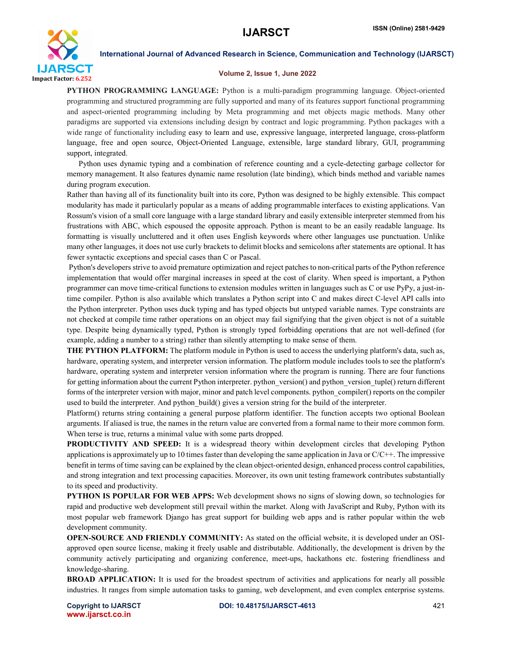

#### Volume 2, Issue 1, June 2022

PYTHON PROGRAMMING LANGUAGE: Python is a multi-paradigm programming language. Object-oriented programming and structured programming are fully supported and many of its features support functional programming and aspect-oriented programming including by Meta programming and met objects magic methods. Many other paradigms are supported via extensions including design by contract and logic programming. Python packages with a wide range of functionality including easy to learn and use, expressive language, interpreted language, cross-platform language, free and open source, Object-Oriented Language, extensible, large standard library, GUI, programming support, integrated.

Python uses dynamic typing and a combination of reference counting and a cycle-detecting garbage collector for memory management. It also features dynamic name resolution (late binding), which binds method and variable names during program execution.

Rather than having all of its functionality built into its core, Python was designed to be highly extensible. This compact modularity has made it particularly popular as a means of adding programmable interfaces to existing applications. Van Rossum's vision of a small core language with a large standard library and easily extensible interpreter stemmed from his frustrations with ABC, which espoused the opposite approach. Python is meant to be an easily readable language. Its formatting is visually uncluttered and it often uses English keywords where other languages use punctuation. Unlike many other languages, it does not use curly brackets to delimit blocks and semicolons after statements are optional. It has fewer syntactic exceptions and special cases than C or Pascal.

Python's developers strive to avoid premature optimization and reject patches to non-critical parts of the Python reference implementation that would offer marginal increases in speed at the cost of clarity. When speed is important, a Python programmer can move time-critical functions to extension modules written in languages such as C or use PyPy, a just-intime compiler. Python is also available which translates a Python script into C and makes direct C-level API calls into the Python interpreter. Python uses duck typing and has typed objects but untyped variable names. Type constraints are not checked at compile time rather operations on an object may fail signifying that the given object is not of a suitable type. Despite being dynamically typed, Python is strongly typed forbidding operations that are not well-defined (for example, adding a number to a string) rather than silently attempting to make sense of them.

THE PYTHON PLATFORM: The platform module in Python is used to access the underlying platform's data, such as, hardware, operating system, and interpreter version information. The platform module includes tools to see the platform's hardware, operating system and interpreter version information where the program is running. There are four functions for getting information about the current Python interpreter. python\_version() and python\_version\_tuple() return different forms of the interpreter version with major, minor and patch level components. python\_compiler() reports on the compiler used to build the interpreter. And python build() gives a version string for the build of the interpreter.

Platform() returns string containing a general purpose platform identifier. The function accepts two optional Boolean arguments. If aliased is true, the names in the return value are converted from a formal name to their more common form. When terse is true, returns a minimal value with some parts dropped.

PRODUCTIVITY AND SPEED: It is a widespread theory within development circles that developing Python applications is approximately up to 10 times faster than developing the same application in Java or  $C/C++$ . The impressive benefit in terms of time saving can be explained by the clean object-oriented design, enhanced process control capabilities, and strong integration and text processing capacities. Moreover, its own unit testing framework contributes substantially to its speed and productivity.

PYTHON IS POPULAR FOR WEB APPS: Web development shows no signs of slowing down, so technologies for rapid and productive web development still prevail within the market. Along with JavaScript and Ruby, Python with its most popular web framework Django has great support for building web apps and is rather popular within the web development community.

OPEN-SOURCE AND FRIENDLY COMMUNITY: As stated on the official website, it is developed under an OSIapproved open source license, making it freely usable and distributable. Additionally, the development is driven by the community actively participating and organizing conference, meet-ups, hackathons etc. fostering friendliness and knowledge-sharing.

BROAD APPLICATION: It is used for the broadest spectrum of activities and applications for nearly all possible industries. It ranges from simple automation tasks to gaming, web development, and even complex enterprise systems.

www.ijarsct.co.in